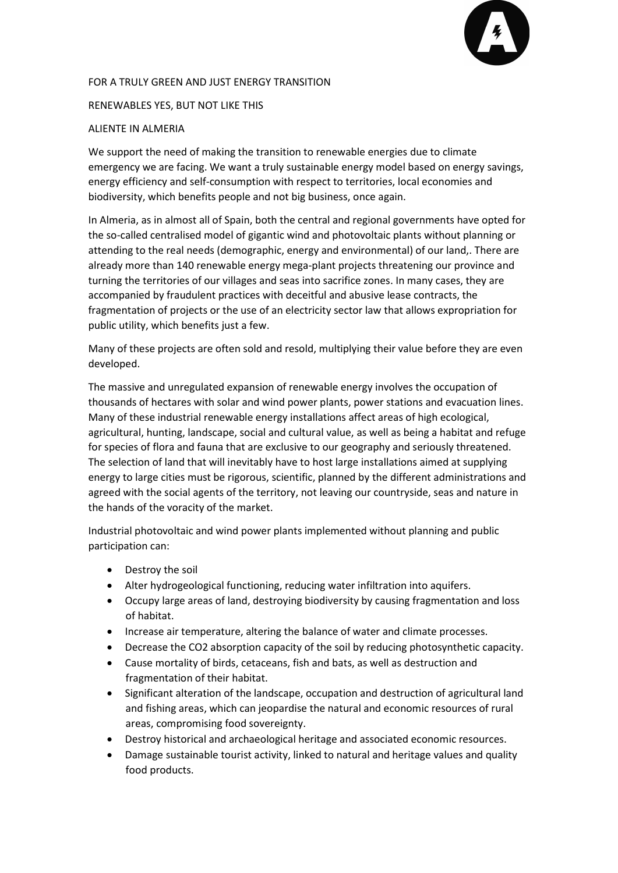

## FOR A TRULY GREEN AND JUST ENERGY TRANSITION

## RENEWABLES YES, BUT NOT LIKE THIS

## ALIENTE IN ALMERIA

We support the need of making the transition to renewable energies due to climate emergency we are facing. We want a truly sustainable energy model based on energy savings, energy efficiency and self-consumption with respect to territories, local economies and biodiversity, which benefits people and not big business, once again.

In Almeria, as in almost all of Spain, both the central and regional governments have opted for the so-called centralised model of gigantic wind and photovoltaic plants without planning or attending to the real needs (demographic, energy and environmental) of our land,. There are already more than 140 renewable energy mega-plant projects threatening our province and turning the territories of our villages and seas into sacrifice zones. In many cases, they are accompanied by fraudulent practices with deceitful and abusive lease contracts, the fragmentation of projects or the use of an electricity sector law that allows expropriation for public utility, which benefits just a few.

Many of these projects are often sold and resold, multiplying their value before they are even developed.

The massive and unregulated expansion of renewable energy involves the occupation of thousands of hectares with solar and wind power plants, power stations and evacuation lines. Many of these industrial renewable energy installations affect areas of high ecological, agricultural, hunting, landscape, social and cultural value, as well as being a habitat and refuge for species of flora and fauna that are exclusive to our geography and seriously threatened. The selection of land that will inevitably have to host large installations aimed at supplying energy to large cities must be rigorous, scientific, planned by the different administrations and agreed with the social agents of the territory, not leaving our countryside, seas and nature in the hands of the voracity of the market.

Industrial photovoltaic and wind power plants implemented without planning and public participation can:

- Destroy the soil
- Alter hydrogeological functioning, reducing water infiltration into aquifers.
- Occupy large areas of land, destroying biodiversity by causing fragmentation and loss of habitat.
- Increase air temperature, altering the balance of water and climate processes.
- Decrease the CO2 absorption capacity of the soil by reducing photosynthetic capacity.
- Cause mortality of birds, cetaceans, fish and bats, as well as destruction and fragmentation of their habitat.
- Significant alteration of the landscape, occupation and destruction of agricultural land and fishing areas, which can jeopardise the natural and economic resources of rural areas, compromising food sovereignty.
- Destroy historical and archaeological heritage and associated economic resources.
- Damage sustainable tourist activity, linked to natural and heritage values and quality food products.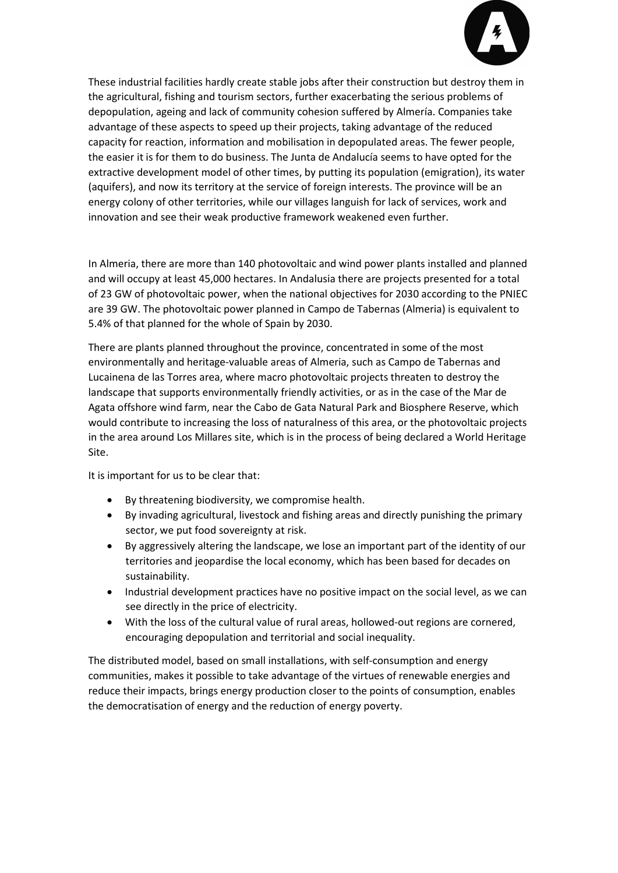

These industrial facilities hardly create stable jobs after their construction but destroy them in the agricultural, fishing and tourism sectors, further exacerbating the serious problems of depopulation, ageing and lack of community cohesion suffered by Almería. Companies take advantage of these aspects to speed up their projects, taking advantage of the reduced capacity for reaction, information and mobilisation in depopulated areas. The fewer people, the easier it is for them to do business. The Junta de Andalucía seems to have opted for the extractive development model of other times, by putting its population (emigration), its water (aquifers), and now its territory at the service of foreign interests. The province will be an energy colony of other territories, while our villages languish for lack of services, work and innovation and see their weak productive framework weakened even further.

In Almeria, there are more than 140 photovoltaic and wind power plants installed and planned and will occupy at least 45,000 hectares. In Andalusia there are projects presented for a total of 23 GW of photovoltaic power, when the national objectives for 2030 according to the PNIEC are 39 GW. The photovoltaic power planned in Campo de Tabernas (Almeria) is equivalent to 5.4% of that planned for the whole of Spain by 2030.

There are plants planned throughout the province, concentrated in some of the most environmentally and heritage-valuable areas of Almeria, such as Campo de Tabernas and Lucainena de las Torres area, where macro photovoltaic projects threaten to destroy the landscape that supports environmentally friendly activities, or as in the case of the Mar de Agata offshore wind farm, near the Cabo de Gata Natural Park and Biosphere Reserve, which would contribute to increasing the loss of naturalness of this area, or the photovoltaic projects in the area around Los Millares site, which is in the process of being declared a World Heritage Site.

It is important for us to be clear that:

- By threatening biodiversity, we compromise health.
- By invading agricultural, livestock and fishing areas and directly punishing the primary sector, we put food sovereignty at risk.
- By aggressively altering the landscape, we lose an important part of the identity of our territories and jeopardise the local economy, which has been based for decades on sustainability.
- Industrial development practices have no positive impact on the social level, as we can see directly in the price of electricity.
- With the loss of the cultural value of rural areas, hollowed-out regions are cornered, encouraging depopulation and territorial and social inequality.

The distributed model, based on small installations, with self-consumption and energy communities, makes it possible to take advantage of the virtues of renewable energies and reduce their impacts, brings energy production closer to the points of consumption, enables the democratisation of energy and the reduction of energy poverty.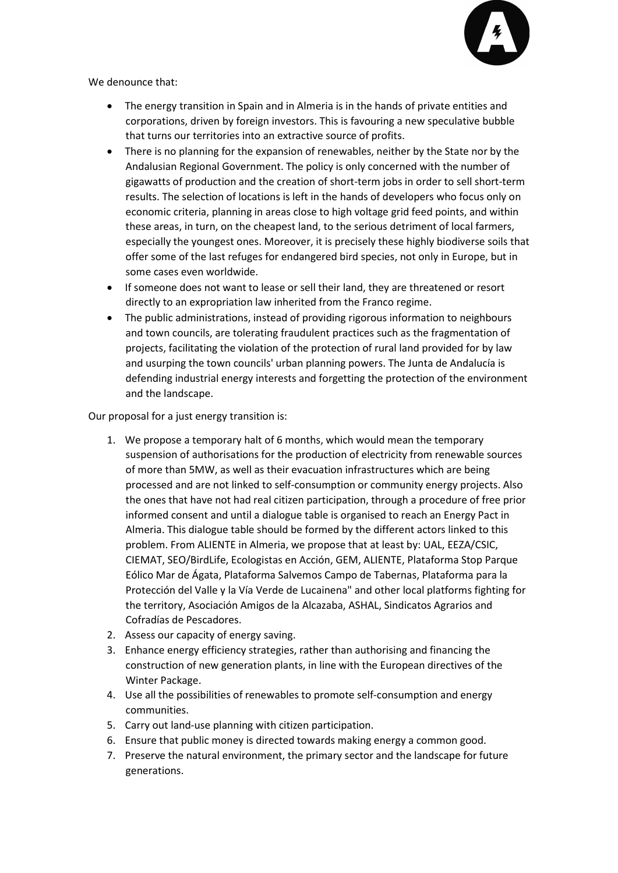

We denounce that:

- The energy transition in Spain and in Almeria is in the hands of private entities and corporations, driven by foreign investors. This is favouring a new speculative bubble that turns our territories into an extractive source of profits.
- There is no planning for the expansion of renewables, neither by the State nor by the Andalusian Regional Government. The policy is only concerned with the number of gigawatts of production and the creation of short-term jobs in order to sell short-term results. The selection of locations is left in the hands of developers who focus only on economic criteria, planning in areas close to high voltage grid feed points, and within these areas, in turn, on the cheapest land, to the serious detriment of local farmers, especially the youngest ones. Moreover, it is precisely these highly biodiverse soils that offer some of the last refuges for endangered bird species, not only in Europe, but in some cases even worldwide.
- If someone does not want to lease or sell their land, they are threatened or resort directly to an expropriation law inherited from the Franco regime.
- The public administrations, instead of providing rigorous information to neighbours and town councils, are tolerating fraudulent practices such as the fragmentation of projects, facilitating the violation of the protection of rural land provided for by law and usurping the town councils' urban planning powers. The Junta de Andalucía is defending industrial energy interests and forgetting the protection of the environment and the landscape.

Our proposal for a just energy transition is:

- 1. We propose a temporary halt of 6 months, which would mean the temporary suspension of authorisations for the production of electricity from renewable sources of more than 5MW, as well as their evacuation infrastructures which are being processed and are not linked to self-consumption or community energy projects. Also the ones that have not had real citizen participation, through a procedure of free prior informed consent and until a dialogue table is organised to reach an Energy Pact in Almeria. This dialogue table should be formed by the different actors linked to this problem. From ALIENTE in Almeria, we propose that at least by: UAL, EEZA/CSIC, CIEMAT, SEO/BirdLife, Ecologistas en Acción, GEM, ALIENTE, Plataforma Stop Parque Eólico Mar de Ágata, Plataforma Salvemos Campo de Tabernas, Plataforma para la Protección del Valle y la Vía Verde de Lucainena" and other local platforms fighting for the territory, Asociación Amigos de la Alcazaba, ASHAL, Sindicatos Agrarios and Cofradías de Pescadores.
- 2. Assess our capacity of energy saving.
- 3. Enhance energy efficiency strategies, rather than authorising and financing the construction of new generation plants, in line with the European directives of the Winter Package.
- 4. Use all the possibilities of renewables to promote self-consumption and energy communities.
- 5. Carry out land-use planning with citizen participation.
- 6. Ensure that public money is directed towards making energy a common good.
- 7. Preserve the natural environment, the primary sector and the landscape for future generations.